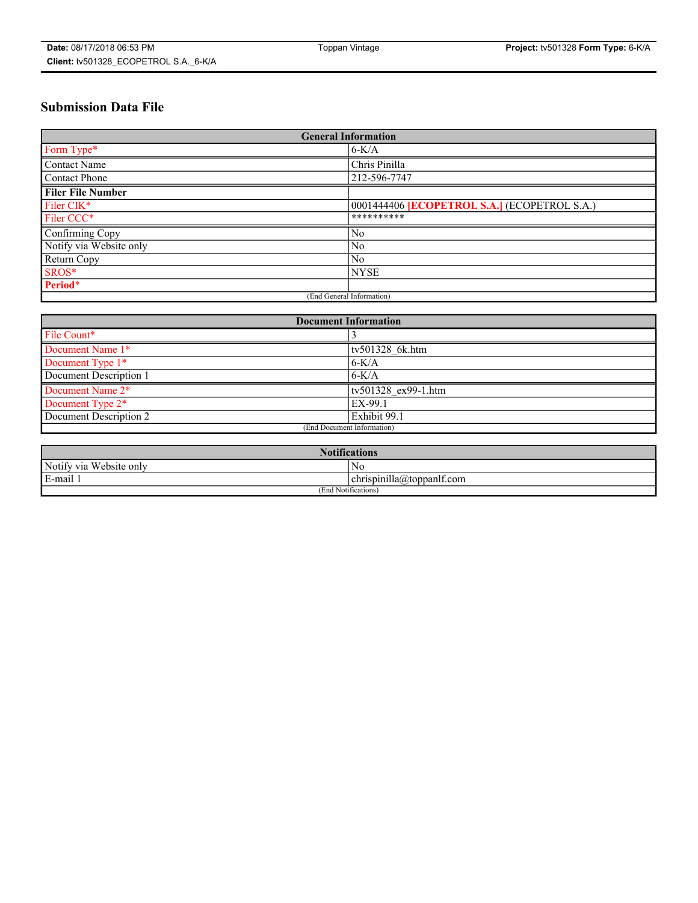# **Submission Data File**

| <b>General Information</b> |                                                     |  |  |  |  |  |  |  |
|----------------------------|-----------------------------------------------------|--|--|--|--|--|--|--|
| Form Type*                 | $6-K/A$                                             |  |  |  |  |  |  |  |
| Contact Name               | Chris Pinilla                                       |  |  |  |  |  |  |  |
| <b>Contact Phone</b>       | 212-596-7747                                        |  |  |  |  |  |  |  |
| <b>Filer File Number</b>   |                                                     |  |  |  |  |  |  |  |
| Filer CIK*                 | 0001444406 <b>[ECOPETROL S.A.]</b> (ECOPETROL S.A.) |  |  |  |  |  |  |  |
| Filer CCC*                 | **********                                          |  |  |  |  |  |  |  |
| Confirming Copy            | N <sub>0</sub>                                      |  |  |  |  |  |  |  |
| Notify via Website only    | N <sub>0</sub>                                      |  |  |  |  |  |  |  |
| Return Copy                | N <sub>0</sub>                                      |  |  |  |  |  |  |  |
| SROS*                      | <b>NYSE</b>                                         |  |  |  |  |  |  |  |
| Period*                    |                                                     |  |  |  |  |  |  |  |
| (End General Information)  |                                                     |  |  |  |  |  |  |  |

| <b>Document Information</b> |                     |  |  |  |  |  |
|-----------------------------|---------------------|--|--|--|--|--|
| File Count*                 |                     |  |  |  |  |  |
| Document Name 1*            | tv501328 6k.htm     |  |  |  |  |  |
| Document Type 1*            | $6-K/A$             |  |  |  |  |  |
| Document Description 1      | $6-K/A$             |  |  |  |  |  |
| Document Name 2*            | tv501328 ex99-1.htm |  |  |  |  |  |
| Document Type 2*            | EX-99.1             |  |  |  |  |  |
| Document Description 2      | Exhibit 99.1        |  |  |  |  |  |
| (End Document Information)  |                     |  |  |  |  |  |

| <b>Notifications</b>                  |                                           |  |  |  |  |  |
|---------------------------------------|-------------------------------------------|--|--|--|--|--|
| Notify via<br>T T T<br>. Website only | - No                                      |  |  |  |  |  |
| $E-mail$                              | $ $ chrispinilla( <i>a</i> ) toppan f.com |  |  |  |  |  |
| (End Notifications)                   |                                           |  |  |  |  |  |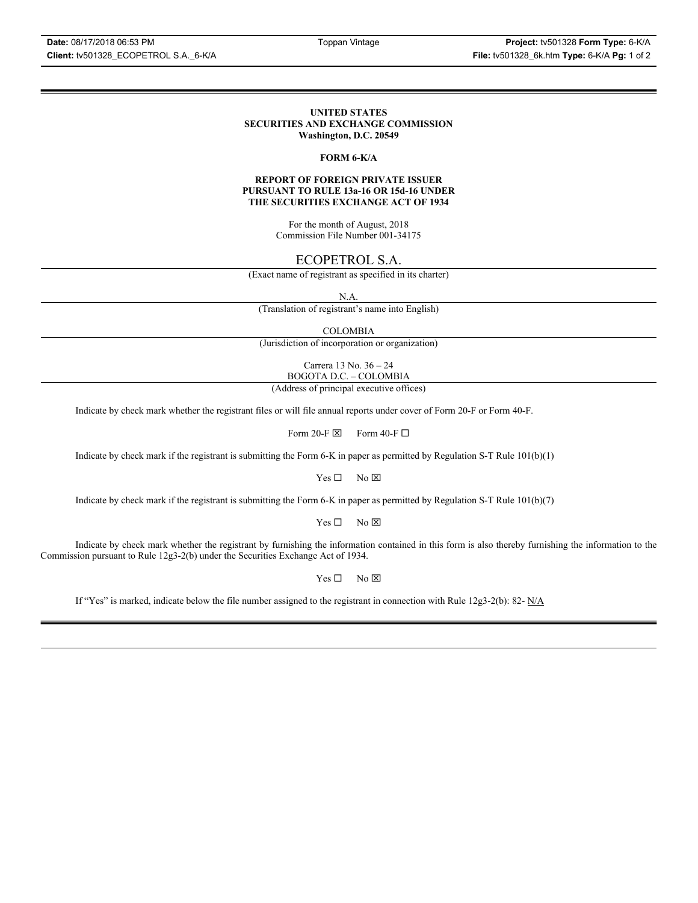### **UNITED STATES SECURITIES AND EXCHANGE COMMISSION Washington, D.C. 20549**

## **FORM 6-K/A**

### **REPORT OF FOREIGN PRIVATE ISSUER PURSUANT TO RULE 13a-16 OR 15d-16 UNDER THE SECURITIES EXCHANGE ACT OF 1934**

For the month of August, 2018 Commission File Number 001-34175

# ECOPETROL S.A.

(Exact name of registrant as specified in its charter)

N.A.

(Translation of registrant's name into English)

COLOMBIA

(Jurisdiction of incorporation or organization)

Carrera 13 No. 36 – 24 BOGOTA D.C. – COLOMBIA

(Address of principal executive offices)

Indicate by check mark whether the registrant files or will file annual reports under cover of Form 20-F or Form 40-F.

Form 20-F  $\boxtimes$  Form 40-F  $\Box$ 

Indicate by check mark if the registrant is submitting the Form 6-K in paper as permitted by Regulation S-T Rule 101(b)(1)

 $Yes \Box$  No  $\boxtimes$ 

Indicate by check mark if the registrant is submitting the Form 6-K in paper as permitted by Regulation S-T Rule 101(b)(7)

 $Yes \Box$  No  $\boxtimes$ 

Indicate by check mark whether the registrant by furnishing the information contained in this form is also thereby furnishing the information to the Commission pursuant to Rule 12g3-2(b) under the Securities Exchange Act of 1934.

 $Yes \Box$  No  $\boxtimes$ 

If "Yes" is marked, indicate below the file number assigned to the registrant in connection with Rule 12g3-2(b): 82-  $N/A$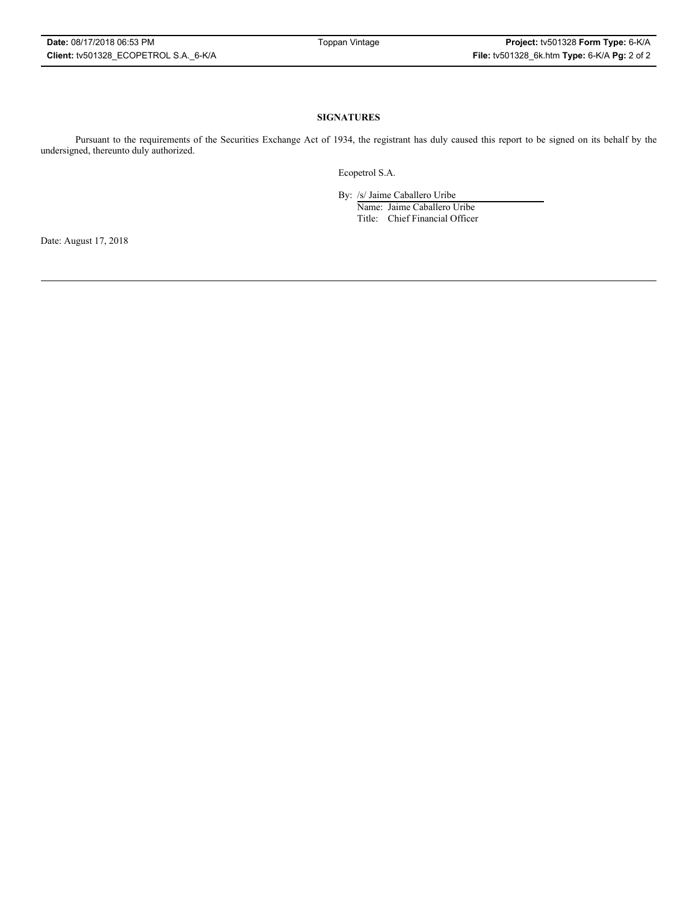### **SIGNATURES**

Pursuant to the requirements of the Securities Exchange Act of 1934, the registrant has duly caused this report to be signed on its behalf by the undersigned, thereunto duly authorized.

Ecopetrol S.A.

By: /s/ Jaime Caballero Uribe

Name: Jaime Caballero Uribe Title: Chief Financial Officer

Date: August 17, 2018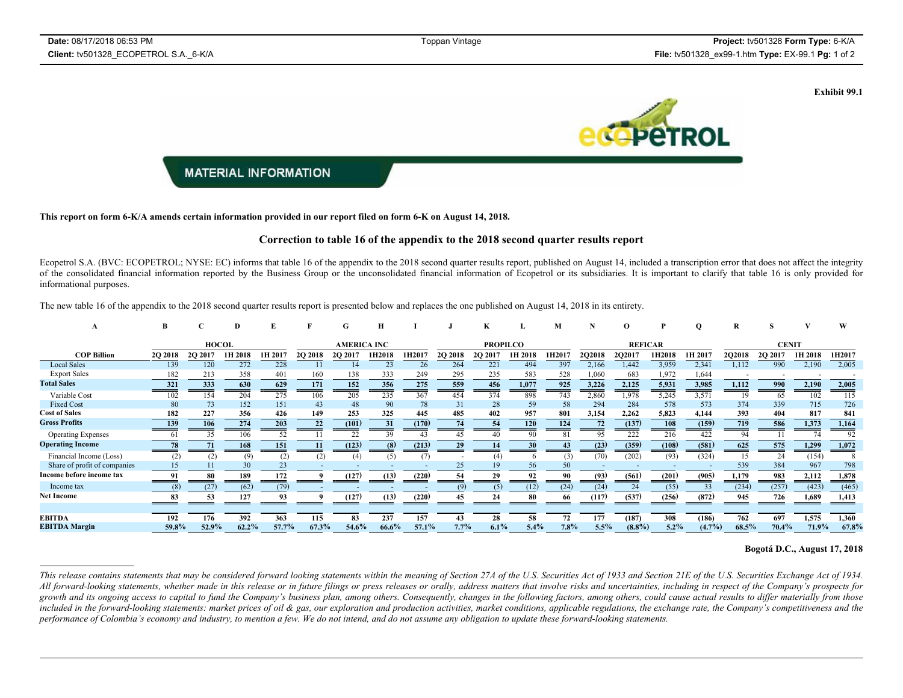**Exhibit 99.1**



**This report on form 6-K/A amends certain information provided in our report filed on form 6-K on August 14, 2018.**

#### **Correction to table 16 of the appendix to the 2018 second quarter results report**

Ecopetrol S.A. (BVC: ECOPETROL; NYSE: EC) informs that table 16 of the appendix to the 2018 second quarter results report, published on August 14, included a transcription error that does not affect the integrity of the consolidated financial information reported by the Business Group or the unconsolidated financial information of Ecopetrol or its subsidiaries. It is important to clarify that table 16 is only provided for informational purposes.

The new table 16 of the appendix to the 2018 second quarter results report is presented below and replaces the one published on August 14, 2018 in its entirety.

| A                            | в       |              |         |         |                    | G       | Н      |                 |         | K      |         | м              |               |           |        | Q               | R      | s       |         | w               |
|------------------------------|---------|--------------|---------|---------|--------------------|---------|--------|-----------------|---------|--------|---------|----------------|---------------|-----------|--------|-----------------|--------|---------|---------|-----------------|
|                              |         | <b>HOCOL</b> |         |         | <b>AMERICA INC</b> |         |        | <b>PROPILCO</b> |         |        |         | <b>REFICAR</b> |               |           |        | <b>CENIT</b>    |        |         |         |                 |
| <b>COP Billion</b>           | 2Q 2018 | 2Q 2017      | 1H 2018 | IH 2017 | <b>2O 2018</b>     | 2Q 2017 | 1H2018 | 1H2017          | 2Q 2018 | 2Q 201 | 1H 2018 | 1H2017         | <b>2Q2018</b> | 2Q2017    | 1H2018 | 1H 2017         | 2Q2018 | 2Q 2017 | 1H 2018 | 1H2017          |
| <b>Local Sales</b>           | 139     | 120          | 272     | 228     |                    | 14      | 23     |                 | 264     | 221    | 494     | 397            | 2,166         | 1,442     | 3,959  | 2,341           | 1,112  | 990     | 2,190   | 2,005           |
| <b>Export Sales</b>          | 182     | 213          | 358     | 401     | 160                | 138     | 333    | 249             | 295     | 235    | 583     | 528            | 1,060         | 683       | 1,972  | 1,644           |        |         |         |                 |
| <b>Total Sales</b>           | 321     | 333          | 630     | 629     | 171                | 152     | 356    | 275             | 559     | 456    | 1,077   | 925            | 3,226         | 2,125     | 5,931  | 3,985<br>$\sim$ | 1,112  | 990     | 2,190   | 2,005<br>$\sim$ |
| Variable Cost                | 102     | 154          | 204     | 275     | 106                | 205     | 235    | 367             | 454     | 374    | 898     | 743            | 2,860         | 1,978     | 5,245  | 3,571           | 19     | 65      | 102     | 115             |
| <b>Fixed Cost</b>            | 80      | 73           | 152     | 151     | 43                 | 48      | 90     | 78              | 31      | 28     | 59      | 58             | 294           | 284       | 578    | 573             | 374    | 339     | 715     | 726             |
| <b>Cost of Sales</b>         | 182     | 227          | 356     | 426     | 149                | 253     | 325    | 445             | 485     | 402    | 957     | 801            | 3,154         | 2,262     | 5.823  | 4,144           | 393    | 404     | 817     | 841             |
| <b>Gross Profits</b>         | 139     | 106          | 274     | 203     | 22                 | (101)   | 31     | (170)           | 74      | 54     | 120     | 124            |               | (137)     | 108    | (159)           | 719    | 586     | 1,373   | 1,164<br>$\sim$ |
| <b>Operating Expenses</b>    | 61      | 35           | 106     | 52      |                    | 22      | 39     |                 | 45      |        | -90     |                | 95            | 222       | 216    | 422             | 94     |         | 74      | 92              |
| <b>Operating Income</b>      | 78      | 71           | 168     | 151     |                    | (123)   | (8)    | (213)           | 29      |        | 30      |                | (23)          | (359)     | (108)  | (581)           | 625    | 575     | 1,299   | 1,072           |
| Financial Income (Loss)      | (2)     | (2)          | (9)     | (2)     | (2)                | (4)     | (5)    | (7)             |         |        |         | (3)            | (70)          | (202)     | (93)   | (324)           | 15     | 24      | (154)   | 8               |
| Share of profit of companies |         |              |         | 23      |                    |         |        |                 | 25      |        | 56      | 50             |               |           |        |                 | 539    | 384     | 967     | 798             |
| Income before income tax     | 91      |              | 189     | 172     |                    | (127)   | (13)   | (220)           | 54      |        | 92      | 90             | (93)          | (561)     | (201)  | (905)           | 1,179  | 983     | 2,112   | 1,878           |
| Income tax                   | (8)     | (27)         | (62)    | (79)    |                    |         |        |                 | (9)     | (5)    | (12)    | (24)           | (24)          | 24        | (55)   |                 | (234)  | (257)   | (423)   | (465)           |
| <b>Net Income</b>            | 83      |              | 127     |         |                    | (127)   | (13)   | (220)           |         |        | -80     | 66.            | (117)         | (537)     | (256)  | (872)           | 945    | 726     | 1,689   | 1,413           |
|                              |         |              |         |         |                    |         |        |                 |         |        |         |                |               |           |        |                 |        |         |         |                 |
| <b>EBITDA</b>                | 192     | 176          | 392     | 363     | 115                | 83      | 237    | 157             |         | 30     |         |                | 177           | (187)     | 308    | (186)           | 762    | 697     | 1,575   | 1,360           |
| <b>EBITDA Margin</b>         | 59.8%   | 52.9%        | 62.2%   | 57.7%   | 67.3%              | 54.6%   | 66.6%  | 57.1%           | 7.7%    | 6.1%   | 5.4%    | 7.8%           | 5.5%          | $(8.8\%)$ | 5.2%   | $(4.7\%)$       | 68.5%  | 70.4%   | 71.9%   | 67.8%           |

## **Bogotá D.C., August 17, 2018**

This release contains statements that may be considered forward looking statements within the meaning of Section 27A of the U.S. Securities Act of 1933 and Section 21E of the U.S. Securities Exchange Act of 1934. *All forward-looking statements, whether made in this release or in future filings or press releases or orally, address matters that involve risks and uncertainties, including in respect of the Company's prospects for*  growth and its ongoing access to capital to fund the Company's business plan, among others. Consequently, changes in the following factors, among others, could cause actual results to differ materially from those included in the forward-looking statements: market prices of oil & gas, our exploration and production activities, market conditions, applicable regulations, the exchange rate, the Company's competitiveness and the *performance of Colombia's economy and industry, to mention a few. We do not intend, and do not assume any obligation to update these forward-looking statements.*